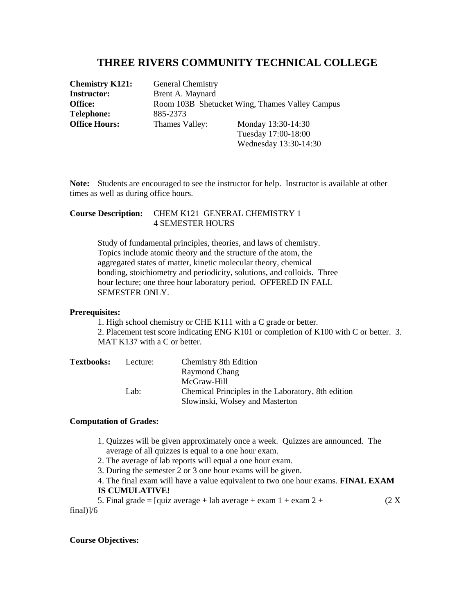# **THREE RIVERS COMMUNITY TECHNICAL COLLEGE**

**Chemistry K121:** General Chemistry **Telephone:** 885-2373

**Instructor:** Brent A. Maynard **Office:** Room 103B Shetucket Wing, Thames Valley Campus **Office Hours:** Thames Valley: Monday 13:30-14:30 Tuesday 17:00-18:00

Wednesday 13:30-14:30

**Note:** Students are encouraged to see the instructor for help. Instructor is available at other times as well as during office hours.

## **Course Description:** CHEM K121 GENERAL CHEMISTRY 1 4 SEMESTER HOURS

 Study of fundamental principles, theories, and laws of chemistry. Topics include atomic theory and the structure of the atom, the aggregated states of matter, kinetic molecular theory, chemical bonding, stoichiometry and periodicity, solutions, and colloids. Three hour lecture; one three hour laboratory period. OFFERED IN FALL SEMESTER ONLY.

### **Prerequisites:**

1. High school chemistry or CHE K111 with a C grade or better. 2. Placement test score indicating ENG K101 or completion of K100 with C or better. 3. MAT K137 with a C or better.

| <b>Textbooks:</b> | Lecture: | Chemistry 8th Edition                              |
|-------------------|----------|----------------------------------------------------|
|                   |          | Raymond Chang                                      |
|                   |          | McGraw-Hill                                        |
|                   | Lab:     | Chemical Principles in the Laboratory, 8th edition |
|                   |          | Slowinski, Wolsey and Masterton                    |

#### **Computation of Grades:**

- 1. Quizzes will be given approximately once a week. Quizzes are announced. The average of all quizzes is equal to a one hour exam.
- 2. The average of lab reports will equal a one hour exam.
- 3. During the semester 2 or 3 one hour exams will be given.
- 4. The final exam will have a value equivalent to two one hour exams. **FINAL EXAM IS CUMULATIVE!**

5. Final grade =  $\lceil \text{quiz average} + \text{lab average} + \text{exam 1} + \text{exam 2} + \rceil$  (2 X) final)]/6

#### **Course Objectives:**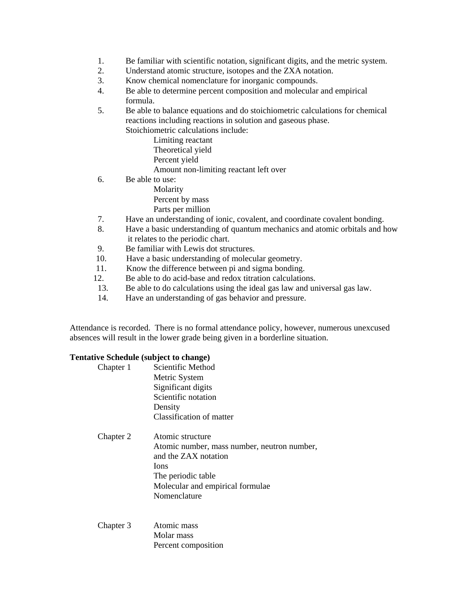- 1. Be familiar with scientific notation, significant digits, and the metric system.
- 2. Understand atomic structure, isotopes and the ZXA notation.
- 3. Know chemical nomenclature for inorganic compounds.
- 4. Be able to determine percent composition and molecular and empirical formula.
- 5. Be able to balance equations and do stoichiometric calculations for chemical reactions including reactions in solution and gaseous phase. Stoichiometric calculations include:
	- Limiting reactant Theoretical yield Percent yield Amount non-limiting reactant left over
	-
- 6. Be able to use:
	- Molarity Percent by mass Parts per million
- 7. Have an understanding of ionic, covalent, and coordinate covalent bonding.
- 8. Have a basic understanding of quantum mechanics and atomic orbitals and how it relates to the periodic chart.
- 9. Be familiar with Lewis dot structures.
- 10. Have a basic understanding of molecular geometry.
- 11. Know the difference between pi and sigma bonding.
- 12. Be able to do acid-base and redox titration calculations.
- 13. Be able to do calculations using the ideal gas law and universal gas law.
- 14. Have an understanding of gas behavior and pressure.

Attendance is recorded. There is no formal attendance policy, however, numerous unexcused absences will result in the lower grade being given in a borderline situation.

#### **Tentative Schedule (subject to change)**

| Chapter 1 | Scientific Method                           |
|-----------|---------------------------------------------|
|           | Metric System                               |
|           | Significant digits                          |
|           | Scientific notation                         |
|           | Density                                     |
|           | Classification of matter                    |
| Chapter 2 | Atomic structure                            |
|           | Atomic number, mass number, neutron number, |
|           | and the ZAX notation                        |
|           | Ions                                        |
|           | The periodic table                          |
|           | Molecular and empirical formulae            |
|           | Nomenclature                                |
|           |                                             |
| Chapter 3 | Atomic mass                                 |
|           | $M_{\odot}$ and $m_{\odot}$ and $m_{\odot}$ |

 Molar mass Percent composition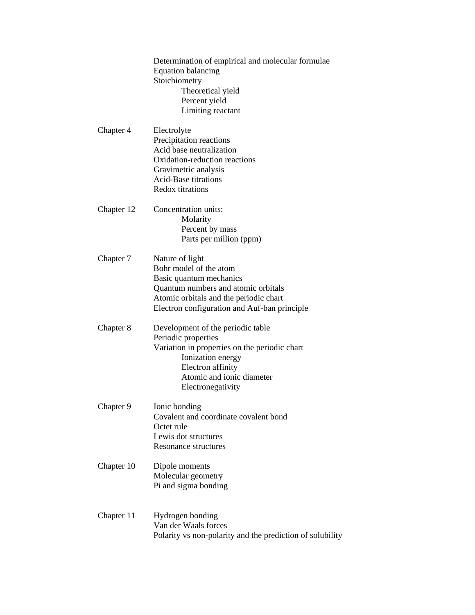|            | Determination of empirical and molecular formulae<br><b>Equation balancing</b><br>Stoichiometry<br>Theoretical yield<br>Percent yield<br>Limiting reactant                                            |
|------------|-------------------------------------------------------------------------------------------------------------------------------------------------------------------------------------------------------|
| Chapter 4  | Electrolyte<br>Precipitation reactions<br>Acid base neutralization<br>Oxidation-reduction reactions<br>Gravimetric analysis<br><b>Acid-Base titrations</b><br><b>Redox titrations</b>                 |
| Chapter 12 | Concentration units:<br>Molarity<br>Percent by mass<br>Parts per million (ppm)                                                                                                                        |
| Chapter 7  | Nature of light<br>Bohr model of the atom<br>Basic quantum mechanics<br>Quantum numbers and atomic orbitals<br>Atomic orbitals and the periodic chart<br>Electron configuration and Auf-ban principle |
| Chapter 8  | Development of the periodic table<br>Periodic properties<br>Variation in properties on the periodic chart<br>Ionization energy<br>Electron affinity<br>Atomic and ionic diameter<br>Electronegativity |
| Chapter 9  | Ionic bonding<br>Covalent and coordinate covalent bond<br>Octet rule<br>Lewis dot structures<br>Resonance structures                                                                                  |
| Chapter 10 | Dipole moments<br>Molecular geometry<br>Pi and sigma bonding                                                                                                                                          |
| Chapter 11 | Hydrogen bonding<br>Van der Waals forces<br>Polarity vs non-polarity and the prediction of solubility                                                                                                 |